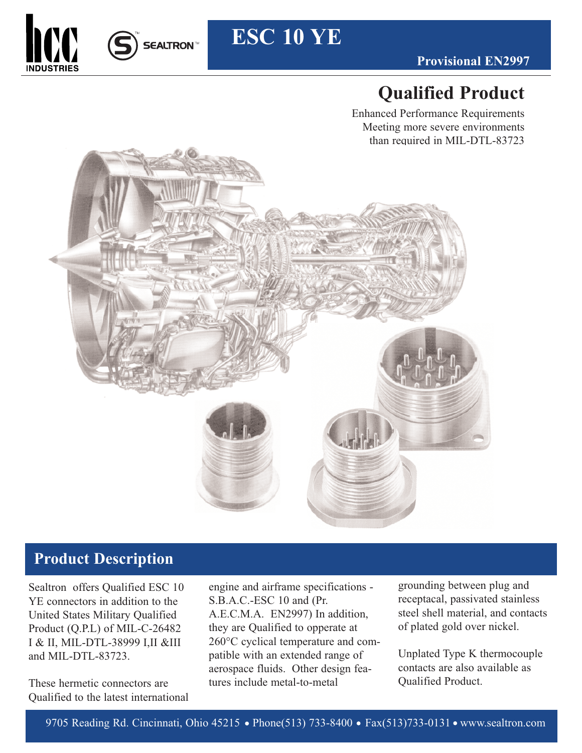



## **ESC 10 YE**

## **Qualified Product**

Enhanced Performance Requirements Meeting more severe environments than required in MIL-DTL-83723



### **Product Description**

Sealtron offers Qualified ESC 10 YE connectors in addition to the United States Military Qualified Product (Q.P.L) of MIL-C-26482 I & II, MIL-DTL-38999 I,II &III and MIL-DTL-83723.

These hermetic connectors are Qualified to the latest international engine and airframe specifications - S.B.A.C.-ESC 10 and (Pr. A.E.C.M.A. EN2997) In addition, they are Qualified to opperate at 260°C cyclical temperature and compatible with an extended range of aerospace fluids. Other design features include metal-to-metal

grounding between plug and receptacal, passivated stainless steel shell material, and contacts of plated gold over nickel.

Unplated Type K thermocouple contacts are also available as Qualified Product.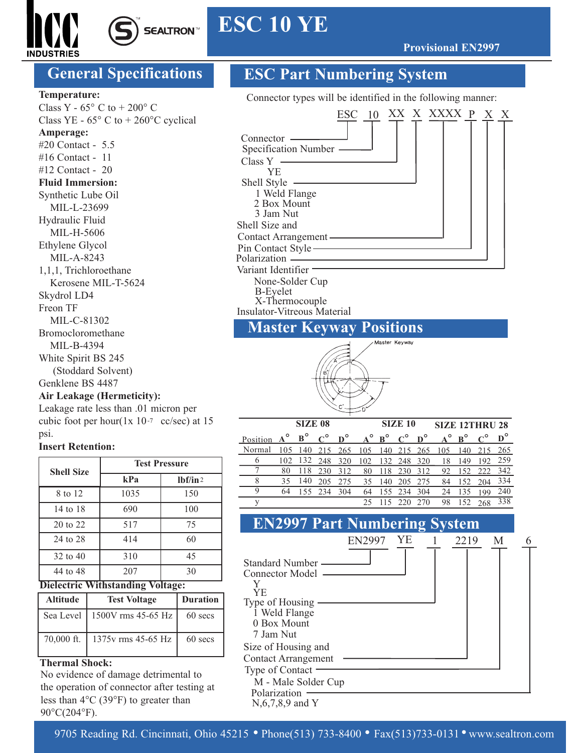

## **ESC 10 YE**

**Provisional EN2997**

**SEALTRON™** 

#### **Temperature:**

Class Y -  $65^{\circ}$  C to + 200 $^{\circ}$  C Class YE -  $65^{\circ}$  C to +  $260^{\circ}$ C cyclical **Amperage:** #20 Contact - 5.5 #16 Contact - 11 #12 Contact - 20 **Fluid Immersion:** Synthetic Lube Oil MIL-L-23699 Hydraulic Fluid MIL-H-5606 Ethylene Glycol MIL-A-8243 1,1,1, Trichloroethane Kerosene MIL-T-5624 Skydrol LD4 Freon TF MIL-C-81302 Bromocloromethane MIL-B-4394 White Spirit BS 245 (Stoddard Solvent) Genklene BS 4487

#### **Air Leakage (Hermeticity):**

Leakage rate less than .01 micron per cubic foot per hour( $1x 10^{-7}$  cc/sec) at 15 psi.

#### **Insert Retention:**

| <b>Shell Size</b> | <b>Test Pressure</b> |          |  |  |  |  |  |  |
|-------------------|----------------------|----------|--|--|--|--|--|--|
|                   | kPa                  | lbf/in 2 |  |  |  |  |  |  |
| 8 to 12           | 1035                 | 150      |  |  |  |  |  |  |
| 14 to 18          | 690                  | 100      |  |  |  |  |  |  |
| 20 to 22          | 517                  | 75       |  |  |  |  |  |  |
| 24 to 28          | 414                  | 60       |  |  |  |  |  |  |
| 32 to 40          | 310                  | 45       |  |  |  |  |  |  |
| 44 to 48          | 207                  | 30       |  |  |  |  |  |  |

#### **Dielectric Withstanding Voltage:**

| <b>Altitude</b> | <b>Test Voltage</b>             | <b>Duration</b> |
|-----------------|---------------------------------|-----------------|
|                 | Sea Level   1500V rms 45-65 Hz  | 60 secs         |
|                 | 70,000 ft.   1375v rms 45-65 Hz | 60 secs         |

#### **Thermal Shock:**

No evidence of damage detrimental to the operation of connector after testing at less than 4°C (39°F) to greater than 90°C(204°F).

### **General Specifications ESC Part Numbering System**

Connector types will be identified in the following manner:



# Master Keyway

|                                                                                                                                                          | <b>SIZE 08</b> |                | <b>SIZE 10</b> |  |  |                                                | <b>SIZE 12THRU 28</b> |  |  |  |
|----------------------------------------------------------------------------------------------------------------------------------------------------------|----------------|----------------|----------------|--|--|------------------------------------------------|-----------------------|--|--|--|
| Position $A^{\circ}$ $B^{\circ}$ $C^{\circ}$ $D^{\circ}$ $A^{\circ}$ $B^{\circ}$ $C^{\circ}$ $D^{\circ}$ $A^{\circ}$ $B^{\circ}$ $C^{\circ}$ $D^{\circ}$ |                |                |                |  |  |                                                |                       |  |  |  |
| Normal 105 140 215 265 105 140 215 265 105 140 215 265                                                                                                   |                |                |                |  |  |                                                |                       |  |  |  |
| 6                                                                                                                                                        |                |                |                |  |  | 102 132 248 320 102 132 248 320 18 149 192 259 |                       |  |  |  |
|                                                                                                                                                          |                |                |                |  |  | 80 118 230 312 80 118 230 312 92 152 222 342   |                       |  |  |  |
| 8                                                                                                                                                        |                |                |                |  |  | 35 140 205 275 35 140 205 275 84 152 204 334   |                       |  |  |  |
| 9                                                                                                                                                        |                | 64 155 234 304 |                |  |  | 64 155 234 304 24 135 199 240                  |                       |  |  |  |
|                                                                                                                                                          |                |                |                |  |  | 25 115 220 270 98 152 268 338                  |                       |  |  |  |

#### Connector Model Standard Number Y YE Type of Housing 1 Weld Flange 0 Box Mount 7 Jam Nut Size of Housing and Contact Arrangement Type of Contact M - Male Solder Cup Polarization · N,6,7,8,9 and Y EN2997 YE 1 2219 M 6 **EN2997 Part Numbering System**

9705 Reading Rd. Cincinnati, Ohio 45215 • Phone(513) 733-8400 • Fax(513)733-0131 • www.sealtron.com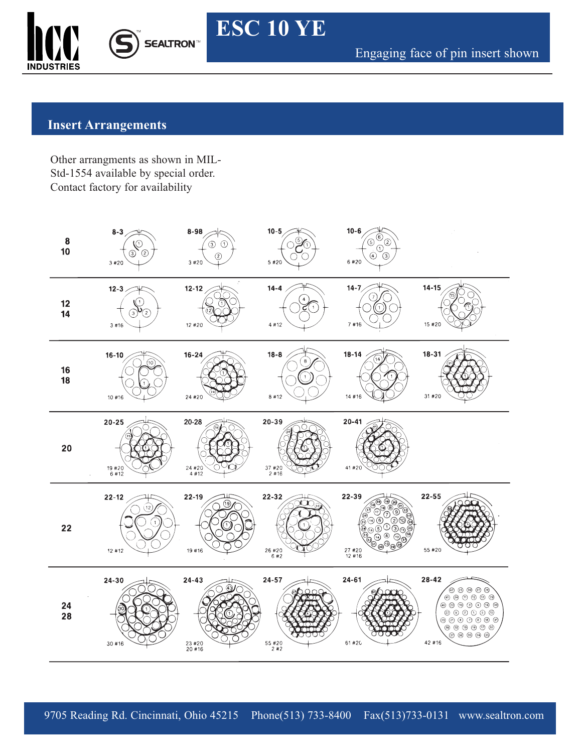



Engaging face of pin insert shown

#### **Insert Arrangements**

Other arrangments as shown in MIL-Std-1554 available by special order. Contact factory for availability



**ESC 10 YE**